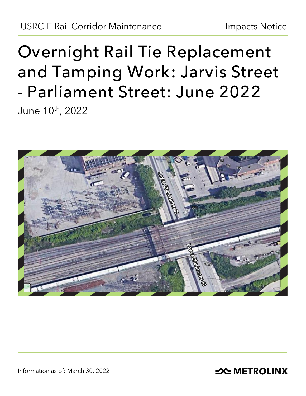# **Overnight Rail Tie Replacement and Tamping Work: Jarvis Street - Parliament Street: June 2022** June 10th, 2022



**SOUTHER THE METROLINX**